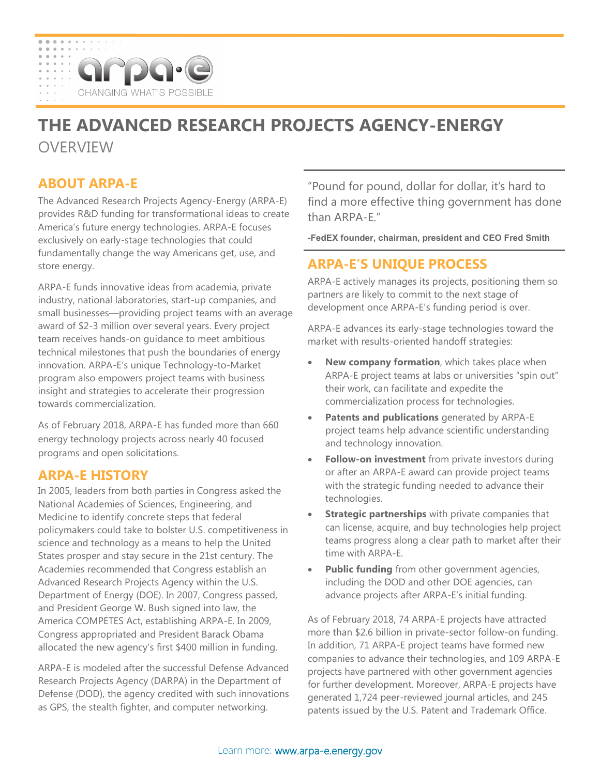# arpa **IGING WHAT'S POS**

# **THE ADVANCED RESEARCH PROJECTS AGENCY-ENERGY**

**OVERVIEW** 

# **ABOUT ARPA-E**

The Advanced Research Projects Agency-Energy (ARPA-E) provides R&D funding for transformational ideas to create America's future energy technologies. ARPA-E focuses exclusively on early-stage technologies that could fundamentally change the way Americans get, use, and store energy.

ARPA-E funds innovative ideas from academia, private industry, national laboratories, start-up companies, and small businesses—providing project teams with an average award of \$2-3 million over several years. Every project team receives hands-on guidance to meet ambitious technical milestones that push the boundaries of energy innovation. ARPA-E's unique Technology-to-Market program also empowers project teams with business insight and strategies to accelerate their progression towards commercialization.

As of February 2018, ARPA-E has funded more than 660 energy technology projects across nearly 40 focused programs and open solicitations.

## **ARPA-E HISTORY**

In 2005, leaders from both parties in Congress asked the National Academies of Sciences, Engineering, and Medicine to identify concrete steps that federal policymakers could take to bolster U.S. competitiveness in science and technology as a means to help the United States prosper and stay secure in the 21st century. The Academies recommended that Congress establish an Advanced Research Projects Agency within the U.S. Department of Energy (DOE). In 2007, Congress passed, and President George W. Bush signed into law, the America COMPETES Act, establishing ARPA-E. In 2009, Congress appropriated and President Barack Obama allocated the new agency's first \$400 million in funding.

ARPA-E is modeled after the successful Defense Advanced Research Projects Agency (DARPA) in the Department of Defense (DOD), the agency credited with such innovations as GPS, the stealth fighter, and computer networking.

"Pound for pound, dollar for dollar, it's hard to find a more effective thing government has done than ARPA-E."

**-FedEX founder, chairman, president and CEO Fred Smith**

# **ARPA-E'S UNIQUE PROCESS**

ARPA-E actively manages its projects, positioning them so partners are likely to commit to the next stage of development once ARPA-E's funding period is over.

ARPA-E advances its early-stage technologies toward the market with results-oriented handoff strategies:

- **New company formation**, which takes place when ARPA-E project teams at labs or universities "spin out" their work, can facilitate and expedite the commercialization process for technologies.
- **Patents and publications** generated by ARPA-E project teams help advance scientific understanding and technology innovation.
- **Follow-on investment** from private investors during or after an ARPA-E award can provide project teams with the strategic funding needed to advance their technologies.
- **Strategic partnerships** with private companies that can license, acquire, and buy technologies help project teams progress along a clear path to market after their time with ARPA-E.
- **Public funding** from other government agencies, including the DOD and other DOE agencies, can advance projects after ARPA-E's initial funding.

As of February 2018, 74 ARPA-E projects have attracted more than \$2.6 billion in private-sector follow-on funding. In addition, 71 ARPA-E project teams have formed new companies to advance their technologies, and 109 ARPA-E projects have partnered with other government agencies for further development. Moreover, ARPA-E projects have generated 1,724 peer-reviewed journal articles, and 245 patents issued by the U.S. Patent and Trademark Office.